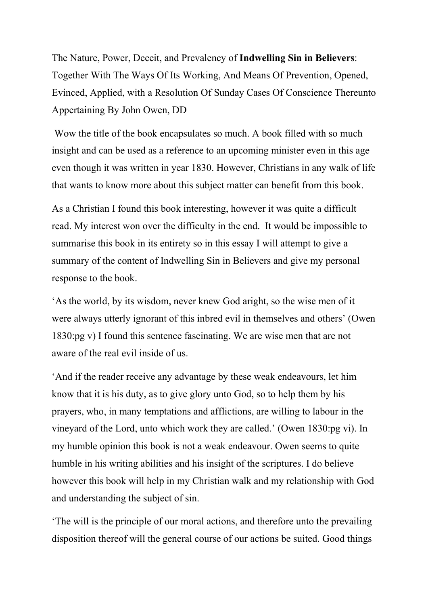The Nature, Power, Deceit, and Prevalency of Indwelling Sin in Believers: Together With The Ways Of Its Working, And Means Of Prevention, Opened, Evinced, Applied, with a Resolution Of Sunday Cases Of Conscience Thereunto Appertaining By John Owen, DD

 Wow the title of the book encapsulates so much. A book filled with so much insight and can be used as a reference to an upcoming minister even in this age even though it was written in year 1830. However, Christians in any walk of life that wants to know more about this subject matter can benefit from this book.

As a Christian I found this book interesting, however it was quite a difficult read. My interest won over the difficulty in the end. It would be impossible to summarise this book in its entirety so in this essay I will attempt to give a summary of the content of Indwelling Sin in Believers and give my personal response to the book.

'As the world, by its wisdom, never knew God aright, so the wise men of it were always utterly ignorant of this inbred evil in themselves and others' (Owen 1830:pg v) I found this sentence fascinating. We are wise men that are not aware of the real evil inside of us.

'And if the reader receive any advantage by these weak endeavours, let him know that it is his duty, as to give glory unto God, so to help them by his prayers, who, in many temptations and afflictions, are willing to labour in the vineyard of the Lord, unto which work they are called.' (Owen 1830:pg vi). In my humble opinion this book is not a weak endeavour. Owen seems to quite humble in his writing abilities and his insight of the scriptures. I do believe however this book will help in my Christian walk and my relationship with God and understanding the subject of sin.

'The will is the principle of our moral actions, and therefore unto the prevailing disposition thereof will the general course of our actions be suited. Good things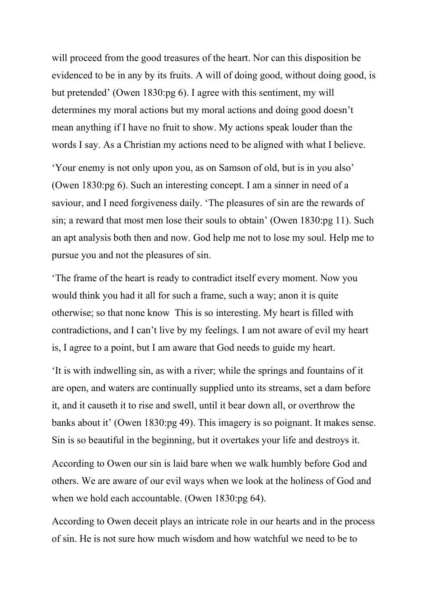will proceed from the good treasures of the heart. Nor can this disposition be evidenced to be in any by its fruits. A will of doing good, without doing good, is but pretended' (Owen 1830:pg 6). I agree with this sentiment, my will determines my moral actions but my moral actions and doing good doesn't mean anything if I have no fruit to show. My actions speak louder than the words I say. As a Christian my actions need to be aligned with what I believe.

'Your enemy is not only upon you, as on Samson of old, but is in you also' (Owen 1830:pg 6). Such an interesting concept. I am a sinner in need of a saviour, and I need forgiveness daily. 'The pleasures of sin are the rewards of sin; a reward that most men lose their souls to obtain' (Owen 1830:pg 11). Such an apt analysis both then and now. God help me not to lose my soul. Help me to pursue you and not the pleasures of sin.

'The frame of the heart is ready to contradict itself every moment. Now you would think you had it all for such a frame, such a way; anon it is quite otherwise; so that none know This is so interesting. My heart is filled with contradictions, and I can't live by my feelings. I am not aware of evil my heart is, I agree to a point, but I am aware that God needs to guide my heart.

'It is with indwelling sin, as with a river; while the springs and fountains of it are open, and waters are continually supplied unto its streams, set a dam before it, and it causeth it to rise and swell, until it bear down all, or overthrow the banks about it' (Owen 1830:pg 49). This imagery is so poignant. It makes sense. Sin is so beautiful in the beginning, but it overtakes your life and destroys it.

According to Owen our sin is laid bare when we walk humbly before God and others. We are aware of our evil ways when we look at the holiness of God and when we hold each accountable. (Owen 1830:pg 64).

According to Owen deceit plays an intricate role in our hearts and in the process of sin. He is not sure how much wisdom and how watchful we need to be to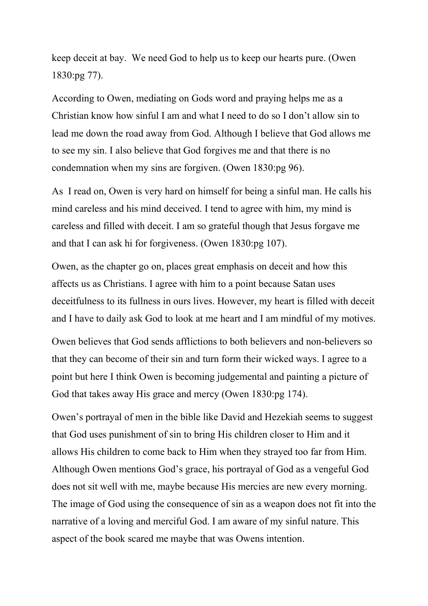keep deceit at bay. We need God to help us to keep our hearts pure. (Owen 1830:pg 77).

According to Owen, mediating on Gods word and praying helps me as a Christian know how sinful I am and what I need to do so I don't allow sin to lead me down the road away from God. Although I believe that God allows me to see my sin. I also believe that God forgives me and that there is no condemnation when my sins are forgiven. (Owen 1830:pg 96).

As I read on, Owen is very hard on himself for being a sinful man. He calls his mind careless and his mind deceived. I tend to agree with him, my mind is careless and filled with deceit. I am so grateful though that Jesus forgave me and that I can ask hi for forgiveness. (Owen 1830:pg 107).

Owen, as the chapter go on, places great emphasis on deceit and how this affects us as Christians. I agree with him to a point because Satan uses deceitfulness to its fullness in ours lives. However, my heart is filled with deceit and I have to daily ask God to look at me heart and I am mindful of my motives.

Owen believes that God sends afflictions to both believers and non-believers so that they can become of their sin and turn form their wicked ways. I agree to a point but here I think Owen is becoming judgemental and painting a picture of God that takes away His grace and mercy (Owen 1830:pg 174).

Owen's portrayal of men in the bible like David and Hezekiah seems to suggest that God uses punishment of sin to bring His children closer to Him and it allows His children to come back to Him when they strayed too far from Him. Although Owen mentions God's grace, his portrayal of God as a vengeful God does not sit well with me, maybe because His mercies are new every morning. The image of God using the consequence of sin as a weapon does not fit into the narrative of a loving and merciful God. I am aware of my sinful nature. This aspect of the book scared me maybe that was Owens intention.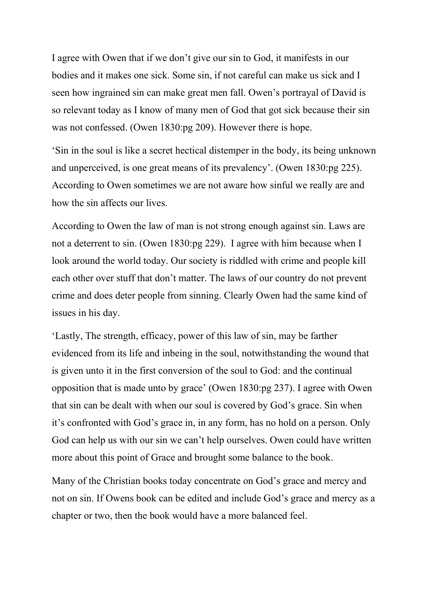I agree with Owen that if we don't give our sin to God, it manifests in our bodies and it makes one sick. Some sin, if not careful can make us sick and I seen how ingrained sin can make great men fall. Owen's portrayal of David is so relevant today as I know of many men of God that got sick because their sin was not confessed. (Owen 1830:pg 209). However there is hope.

'Sin in the soul is like a secret hectical distemper in the body, its being unknown and unperceived, is one great means of its prevalency'. (Owen 1830:pg 225). According to Owen sometimes we are not aware how sinful we really are and how the sin affects our lives.

According to Owen the law of man is not strong enough against sin. Laws are not a deterrent to sin. (Owen 1830:pg 229). I agree with him because when I look around the world today. Our society is riddled with crime and people kill each other over stuff that don't matter. The laws of our country do not prevent crime and does deter people from sinning. Clearly Owen had the same kind of issues in his day.

'Lastly, The strength, efficacy, power of this law of sin, may be farther evidenced from its life and inbeing in the soul, notwithstanding the wound that is given unto it in the first conversion of the soul to God: and the continual opposition that is made unto by grace' (Owen 1830:pg 237). I agree with Owen that sin can be dealt with when our soul is covered by God's grace. Sin when it's confronted with God's grace in, in any form, has no hold on a person. Only God can help us with our sin we can't help ourselves. Owen could have written more about this point of Grace and brought some balance to the book.

Many of the Christian books today concentrate on God's grace and mercy and not on sin. If Owens book can be edited and include God's grace and mercy as a chapter or two, then the book would have a more balanced feel.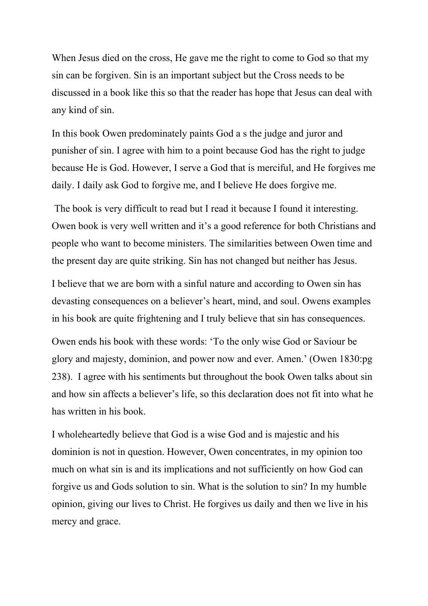When Jesus died on the cross, He gave me the right to come to God so that my sin can be forgiven. Sin is an important subject but the Cross needs to be discussed in a book like this so that the reader has hope that Jesus can deal with any kind of sin.

In this book Owen predominately paints God a s the judge and juror and punisher of sin. I agree with him to a point because God has the right to judge because He is God. However, I serve a God that is merciful, and He forgives me daily. I daily ask God to forgive me, and I believe He does forgive me.

 The book is very difficult to read but I read it because I found it interesting. Owen book is very well written and it's a good reference for both Christians and people who want to become ministers. The similarities between Owen time and the present day are quite striking. Sin has not changed but neither has Jesus.

I believe that we are born with a sinful nature and according to Owen sin has devasting consequences on a believer's heart, mind, and soul. Owens examples in his book are quite frightening and I truly believe that sin has consequences.

Owen ends his book with these words: 'To the only wise God or Saviour be glory and majesty, dominion, and power now and ever. Amen.' (Owen 1830:pg 238). I agree with his sentiments but throughout the book Owen talks about sin and how sin affects a believer's life, so this declaration does not fit into what he has written in his book.

I wholeheartedly believe that God is a wise God and is majestic and his dominion is not in question. However, Owen concentrates, in my opinion too much on what sin is and its implications and not sufficiently on how God can forgive us and Gods solution to sin. What is the solution to sin? In my humble opinion, giving our lives to Christ. He forgives us daily and then we live in his mercy and grace.